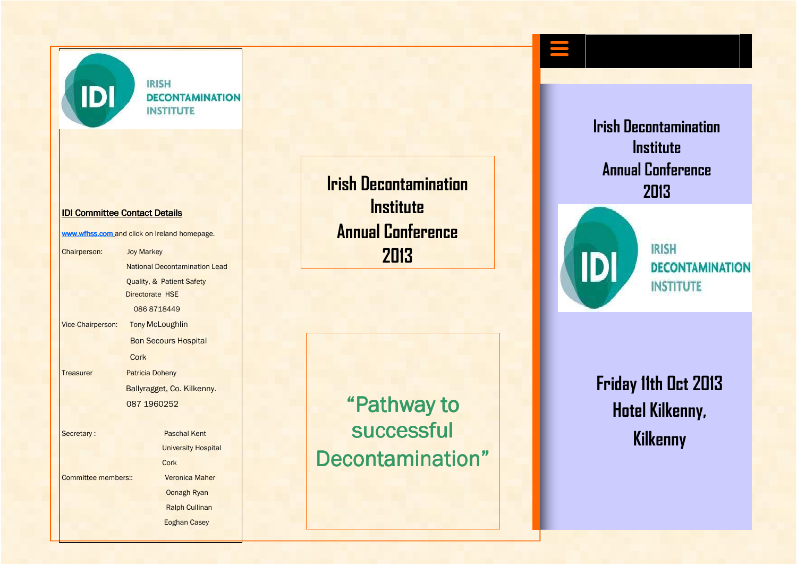

**IRISH DECONTAMINATION INSTITUTE** 

#### IDI Committee Contact Details

www.wfhss.com and click on Ireland homepage.

Chairperson: Joy Markey National Decontamination Lead Quality, & Patient Safety Directorate HSE 086 8718449 Vice-Chairperson: **Tony McLoughlin** Bon Secours Hospital Cork Treasurer Patricia Doheny Ballyragget, Co. Kilkenny. 087 1960252 Secretary : Paschal Kent **University Hospital**  Cork Committee members:: Veronica Maher Oonagh Ryan

> Ralph Cullinan Eoghan Casey

**Irish Decontamination Institute Annual Conference 2013** 

"Pathway to successful Decontamination" **Irish Decontamination Institute Annual Conference 2013** 



**IRISH DECONTAMINATION INSTITUTE** 

**Friday 11th Oct 2013 Hotel Kilkenny, Kilkenny**